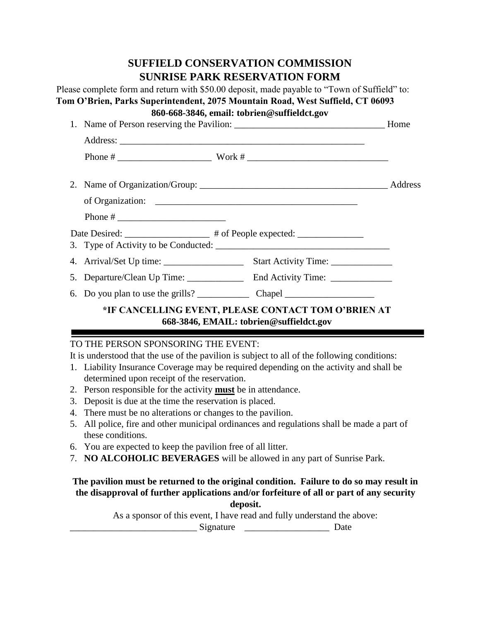# **SUFFIELD CONSERVATION COMMISSION SUNRISE PARK RESERVATION FORM**

Please complete form and return with \$50.00 deposit, made payable to "Town of Suffield" to: **Tom O'Brien, Parks Superintendent, 2075 Mountain Road, West Suffield, CT 06093 860-668-3846, email: tobrien@suffieldct.gov**  1. Name of Person reserving the Pavilion: \_\_\_\_\_\_\_\_\_\_\_\_\_\_\_\_\_\_\_\_\_\_\_\_\_\_\_\_\_\_\_\_ Home Address: \_\_\_\_\_\_\_\_\_\_\_\_\_\_\_\_\_\_\_\_\_\_\_\_\_\_\_\_\_\_\_\_\_\_\_\_\_\_\_\_\_\_\_\_\_\_\_\_\_\_\_\_ Phone # \_\_\_\_\_\_\_\_\_\_\_\_\_\_\_\_\_\_\_\_ Work # \_\_\_\_\_\_\_\_\_\_\_\_\_\_\_\_\_\_\_\_\_\_\_\_\_\_\_\_\_\_ 2. Name of Organization/Group: \_\_\_\_\_\_\_\_\_\_\_\_\_\_\_\_\_\_\_\_\_\_\_\_\_\_\_\_\_\_\_\_\_\_\_\_\_\_\_\_ Address of Organization: \_\_\_\_\_\_\_\_\_\_\_\_\_\_\_\_\_\_\_\_\_\_\_\_\_\_\_\_\_\_\_\_\_\_\_\_\_\_\_\_\_\_\_ Phone # \_\_\_\_\_\_\_\_\_\_\_\_\_\_\_\_\_\_\_\_\_\_\_ Date Desired: \_\_\_\_\_\_\_\_\_\_\_\_\_\_\_\_\_\_ # of People expected: \_\_\_\_\_\_\_\_\_\_\_\_\_\_\_\_\_\_\_\_\_\_\_\_\_ 3. Type of Activity to be Conducted: \_\_\_\_\_\_\_\_\_\_\_\_\_\_\_\_\_\_\_\_\_\_\_\_\_\_\_\_\_\_\_\_\_\_\_\_\_ 4. Arrival/Set Up time: \_\_\_\_\_\_\_\_\_\_\_\_\_\_\_\_\_ Start Activity Time: \_\_\_\_\_\_\_\_\_\_\_\_\_ 5. Departure/Clean Up Time: \_\_\_\_\_\_\_\_\_\_\_\_\_\_\_ End Activity Time: \_\_\_\_\_\_\_\_\_\_\_\_\_\_\_\_\_ 6. Do you plan to use the grills? \_\_\_\_\_\_\_\_\_\_\_ Chapel \_\_\_\_\_\_\_\_\_\_\_\_\_\_\_\_\_\_\_ **\*IF CANCELLING EVENT, PLEASE CONTACT TOM O'BRIEN AT 668-3846, EMAIL: tobrien@suffieldct.gov**

# TO THE PERSON SPONSORING THE EVENT:

It is understood that the use of the pavilion is subject to all of the following conditions:

- 1. Liability Insurance Coverage may be required depending on the activity and shall be determined upon receipt of the reservation.
- 2. Person responsible for the activity **must** be in attendance.
- 3. Deposit is due at the time the reservation is placed.
- 4. There must be no alterations or changes to the pavilion.
- 5. All police, fire and other municipal ordinances and regulations shall be made a part of these conditions.
- 6. You are expected to keep the pavilion free of all litter.
- 7. **NO ALCOHOLIC BEVERAGES** will be allowed in any part of Sunrise Park.

# **The pavilion must be returned to the original condition. Failure to do so may result in the disapproval of further applications and/or forfeiture of all or part of any security**

**deposit.** 

As a sponsor of this event, I have read and fully understand the above:

\_\_\_\_\_\_\_\_\_\_\_\_\_\_\_\_\_\_\_\_\_\_\_\_\_\_\_ Signature \_\_\_\_\_\_\_\_\_\_\_\_\_\_\_\_\_\_ Date